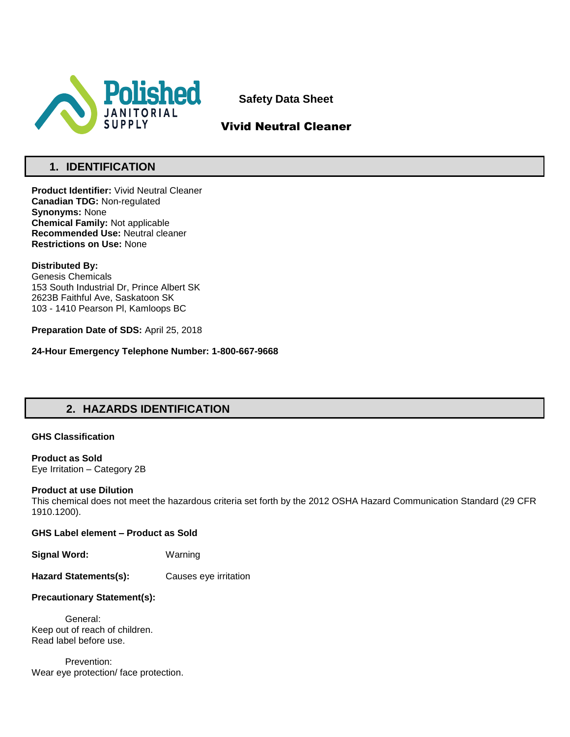

**Safety Data Sheet**

# Vivid Neutral Cleaner

# **1. IDENTIFICATION**

**Product Identifier:** Vivid Neutral Cleaner **Canadian TDG:** Non-regulated **Synonyms:** None **Chemical Family:** Not applicable **Recommended Use:** Neutral cleaner **Restrictions on Use:** None

### **Distributed By:**

Genesis Chemicals 153 South Industrial Dr, Prince Albert SK 2623B Faithful Ave, Saskatoon SK 103 - 1410 Pearson Pl, Kamloops BC

**Preparation Date of SDS:** April 25, 2018

**24-Hour Emergency Telephone Number: 1-800-667-9668**

# **2. HAZARDS IDENTIFICATION**

### **GHS Classification**

**Product as Sold** Eye Irritation – Category 2B

### **Product at use Dilution**

This chemical does not meet the hazardous criteria set forth by the 2012 OSHA Hazard Communication Standard (29 CFR 1910.1200).

**GHS Label element – Product as Sold**

**Signal Word:** Warning

**Hazard Statements(s):** Causes eye irritation

### **Precautionary Statement(s):**

General: Keep out of reach of children. Read label before use.

Prevention: Wear eye protection/ face protection.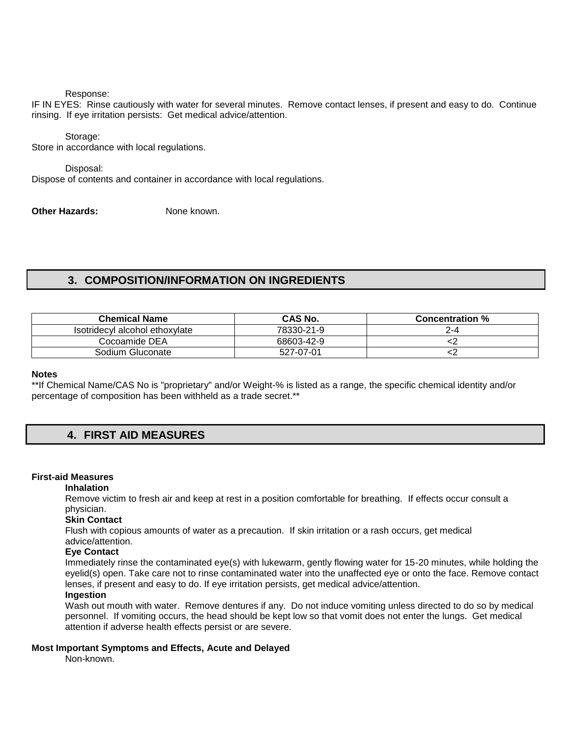#### Response:

IF IN EYES: Rinse cautiously with water for several minutes. Remove contact lenses, if present and easy to do. Continue rinsing. If eye irritation persists: Get medical advice/attention.

#### Storage:

Store in accordance with local regulations.

#### Disposal:

Dispose of contents and container in accordance with local regulations.

**Other Hazards:** None known.

# **3. COMPOSITION/INFORMATION ON INGREDIENTS**

| <b>Chemical Name</b>           | <b>CAS No.</b> | <b>Concentration %</b> |
|--------------------------------|----------------|------------------------|
| Isotridecyl alcohol ethoxylate | 78330-21-9     | 2-4                    |
| Cocoamide DEA                  | 68603-42-9     |                        |
| Sodium Gluconate               | 527-07-01      |                        |

#### **Notes**

\*\*If Chemical Name/CAS No is "proprietary" and/or Weight-% is listed as a range, the specific chemical identity and/or percentage of composition has been withheld as a trade secret.\*\*

# **4. FIRST AID MEASURES**

## **First-aid Measures**

## **Inhalation**

Remove victim to fresh air and keep at rest in a position comfortable for breathing. If effects occur consult a physician.

### **Skin Contact**

Flush with copious amounts of water as a precaution. If skin irritation or a rash occurs, get medical advice/attention.

#### **Eye Contact**

Immediately rinse the contaminated eye(s) with lukewarm, gently flowing water for 15-20 minutes, while holding the eyelid(s) open. Take care not to rinse contaminated water into the unaffected eye or onto the face. Remove contact lenses, if present and easy to do. If eye irritation persists, get medical advice/attention.

## **Ingestion**

Wash out mouth with water. Remove dentures if any. Do not induce vomiting unless directed to do so by medical personnel. If vomiting occurs, the head should be kept low so that vomit does not enter the lungs. Get medical attention if adverse health effects persist or are severe.

### **Most Important Symptoms and Effects, Acute and Delayed**

Non-known.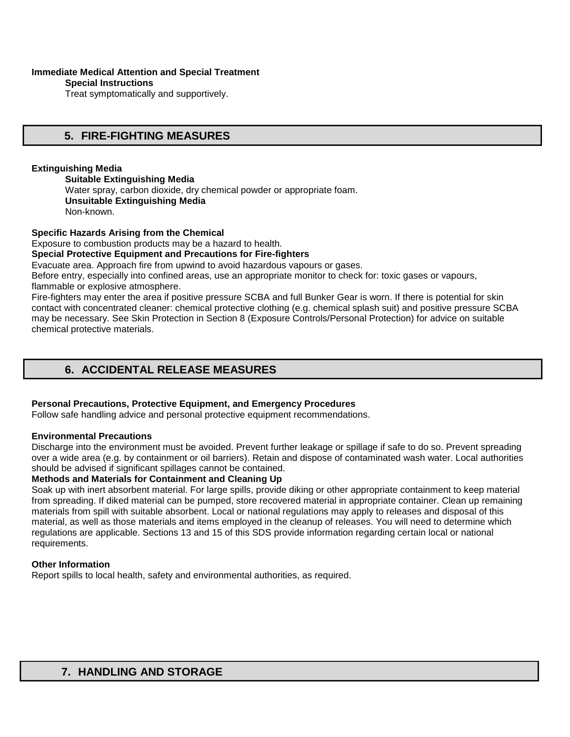### **Immediate Medical Attention and Special Treatment**

**Special Instructions** 

Treat symptomatically and supportively.

# **5. FIRE-FIGHTING MEASURES**

## **Extinguishing Media**

**Suitable Extinguishing Media** Water spray, carbon dioxide, dry chemical powder or appropriate foam. **Unsuitable Extinguishing Media**  Non-known.

**Specific Hazards Arising from the Chemical** 

Exposure to combustion products may be a hazard to health.

### **Special Protective Equipment and Precautions for Fire-fighters**

Evacuate area. Approach fire from upwind to avoid hazardous vapours or gases.

Before entry, especially into confined areas, use an appropriate monitor to check for: toxic gases or vapours, flammable or explosive atmosphere.

Fire-fighters may enter the area if positive pressure SCBA and full Bunker Gear is worn. If there is potential for skin contact with concentrated cleaner: chemical protective clothing (e.g. chemical splash suit) and positive pressure SCBA may be necessary. See Skin Protection in Section 8 (Exposure Controls/Personal Protection) for advice on suitable chemical protective materials.

# **6. ACCIDENTAL RELEASE MEASURES**

## **Personal Precautions, Protective Equipment, and Emergency Procedures**

Follow safe handling advice and personal protective equipment recommendations.

### **Environmental Precautions**

Discharge into the environment must be avoided. Prevent further leakage or spillage if safe to do so. Prevent spreading over a wide area (e.g. by containment or oil barriers). Retain and dispose of contaminated wash water. Local authorities should be advised if significant spillages cannot be contained.

### **Methods and Materials for Containment and Cleaning Up**

Soak up with inert absorbent material. For large spills, provide diking or other appropriate containment to keep material from spreading. If diked material can be pumped, store recovered material in appropriate container. Clean up remaining materials from spill with suitable absorbent. Local or national regulations may apply to releases and disposal of this material, as well as those materials and items employed in the cleanup of releases. You will need to determine which regulations are applicable. Sections 13 and 15 of this SDS provide information regarding certain local or national requirements.

### **Other Information**

Report spills to local health, safety and environmental authorities, as required.

# **7. HANDLING AND STORAGE**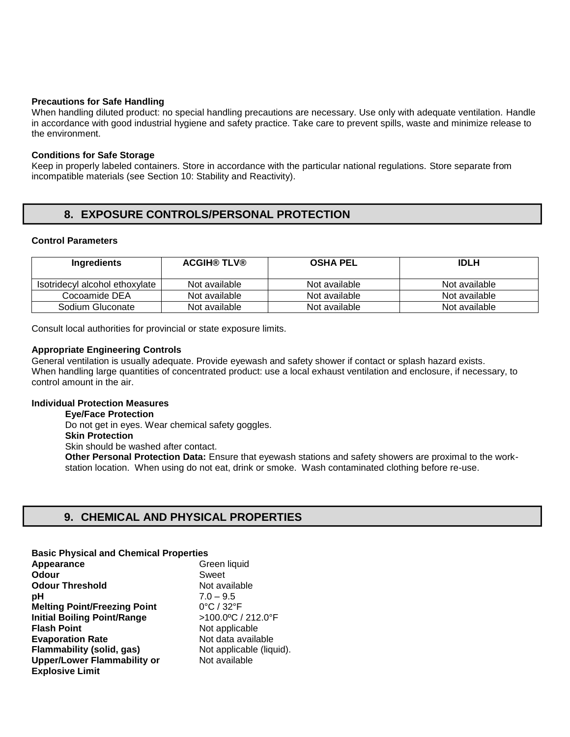#### **Precautions for Safe Handling**

When handling diluted product: no special handling precautions are necessary. Use only with adequate ventilation. Handle in accordance with good industrial hygiene and safety practice. Take care to prevent spills, waste and minimize release to the environment.

#### **Conditions for Safe Storage**

Keep in properly labeled containers. Store in accordance with the particular national regulations. Store separate from incompatible materials (see Section 10: Stability and Reactivity).

# **8. EXPOSURE CONTROLS/PERSONAL PROTECTION**

## **Control Parameters**

| Ingredients                    | <b>ACGIH® TLV®</b> | <b>OSHA PEL</b> | <b>IDLH</b>   |
|--------------------------------|--------------------|-----------------|---------------|
| Isotridecyl alcohol ethoxylate | Not available      | Not available   | Not available |
| Cocoamide DEA                  | Not available      | Not available   | Not available |
| Sodium Gluconate               | Not available      | Not available   | Not available |

Consult local authorities for provincial or state exposure limits.

#### **Appropriate Engineering Controls**

General ventilation is usually adequate. Provide eyewash and safety shower if contact or splash hazard exists. When handling large quantities of concentrated product: use a local exhaust ventilation and enclosure, if necessary, to control amount in the air.

### **Individual Protection Measures**

**Eye/Face Protection**  Do not get in eyes. Wear chemical safety goggles. **Skin Protection**  Skin should be washed after contact. **Other Personal Protection Data:** Ensure that eyewash stations and safety showers are proximal to the workstation location. When using do not eat, drink or smoke. Wash contaminated clothing before re-use.

## **9. CHEMICAL AND PHYSICAL PROPERTIES**

**Basic Physical and Chemical Properties** 

| Appearance                          | Green liquid                    |
|-------------------------------------|---------------------------------|
| Odour                               | Sweet                           |
| <b>Odour Threshold</b>              | Not available                   |
| рH                                  | $7.0 - 9.5$                     |
| <b>Melting Point/Freezing Point</b> | $0^{\circ}$ C / 32 $^{\circ}$ F |
| <b>Initial Boiling Point/Range</b>  | >100.0°C / 212.0°F              |
| <b>Flash Point</b>                  | Not applicable                  |
| <b>Evaporation Rate</b>             | Not data available              |
| Flammability (solid, gas)           | Not applicable (liquid).        |
| <b>Upper/Lower Flammability or</b>  | Not available                   |
| <b>Explosive Limit</b>              |                                 |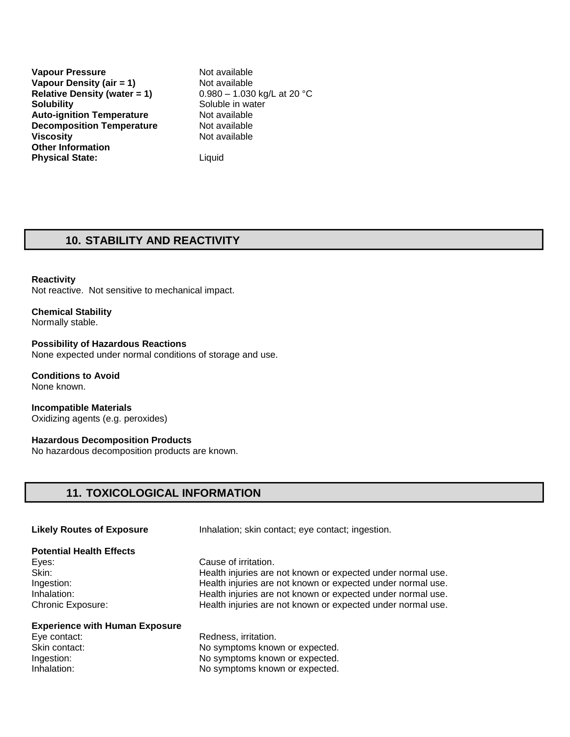**Vapour Pressure Not available Vapour Density (air = 1)** Not available<br>
Relative Density (water = 1) 0.980 - 1.030 kg/L at 20 °C **Relative Density (water = 1) Solubility** Soluble in water **Auto-ignition Temperature** Not available **Decomposition Temperature** Not available **Viscosity Not available Other Information Physical State:** Liquid

## **10. STABILITY AND REACTIVITY**

#### **Reactivity**

Not reactive. Not sensitive to mechanical impact.

**Chemical Stability** Normally stable.

**Possibility of Hazardous Reactions**  None expected under normal conditions of storage and use.

**Conditions to Avoid**  None known.

**Incompatible Materials**  Oxidizing agents (e.g. peroxides)

**Hazardous Decomposition Products**  No hazardous decomposition products are known.

## **11. TOXICOLOGICAL INFORMATION**

| <b>Potential Health Effects</b><br>Eyes:<br>Skin:<br>Ingestion:<br>Inhalation:<br><b>Chronic Exposure:</b> | Cause of irritation.<br>Health injuries are not known or expected under normal use.<br>Health injuries are not known or expected under normal use.<br>Health injuries are not known or expected under normal use.<br>Health injuries are not known or expected under normal use. |
|------------------------------------------------------------------------------------------------------------|----------------------------------------------------------------------------------------------------------------------------------------------------------------------------------------------------------------------------------------------------------------------------------|
| <b>Experience with Human Exposure</b><br>Eye contact:<br>Skin contact:<br>Ingestion:<br>Inhalation:        | Redness, irritation.<br>No symptoms known or expected.<br>No symptoms known or expected.<br>No symptoms known or expected.                                                                                                                                                       |

**Likely Routes of Exposure** Inhalation; skin contact; eye contact; ingestion.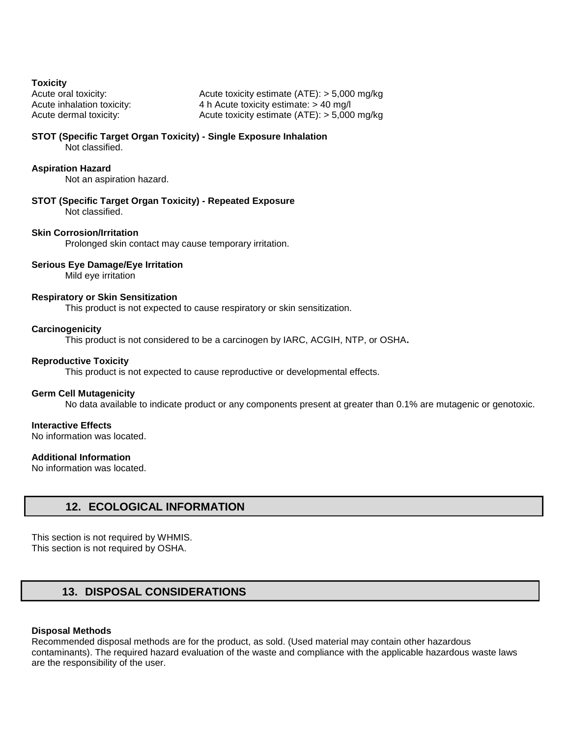**Toxicity** 

Acute oral toxicity: Acute toxicity estimate (ATE): > 5,000 mg/kg Acute inhalation toxicity: 4 h Acute toxicity estimate: > 40 mg/l Acute dermal toxicity: Acute toxicity estimate (ATE): > 5,000 mg/kg

#### **STOT (Specific Target Organ Toxicity) - Single Exposure Inhalation**  Not classified.

## **Aspiration Hazard**

Not an aspiration hazard.

**STOT (Specific Target Organ Toxicity) - Repeated Exposure**  Not classified.

#### **Skin Corrosion/Irritation**

Prolonged skin contact may cause temporary irritation.

#### **Serious Eye Damage/Eye Irritation**

Mild eye irritation

### **Respiratory or Skin Sensitization**

This product is not expected to cause respiratory or skin sensitization.

#### **Carcinogenicity**

This product is not considered to be a carcinogen by IARC, ACGIH, NTP, or OSHA**.** 

#### **Reproductive Toxicity**

This product is not expected to cause reproductive or developmental effects.

### **Germ Cell Mutagenicity**

No data available to indicate product or any components present at greater than 0.1% are mutagenic or genotoxic.

#### **Interactive Effects**

No information was located.

### **Additional Information**

No information was located.

## **12. ECOLOGICAL INFORMATION**

This section is not required by WHMIS. This section is not required by OSHA.

# **13. DISPOSAL CONSIDERATIONS**

#### **Disposal Methods**

Recommended disposal methods are for the product, as sold. (Used material may contain other hazardous contaminants). The required hazard evaluation of the waste and compliance with the applicable hazardous waste laws are the responsibility of the user.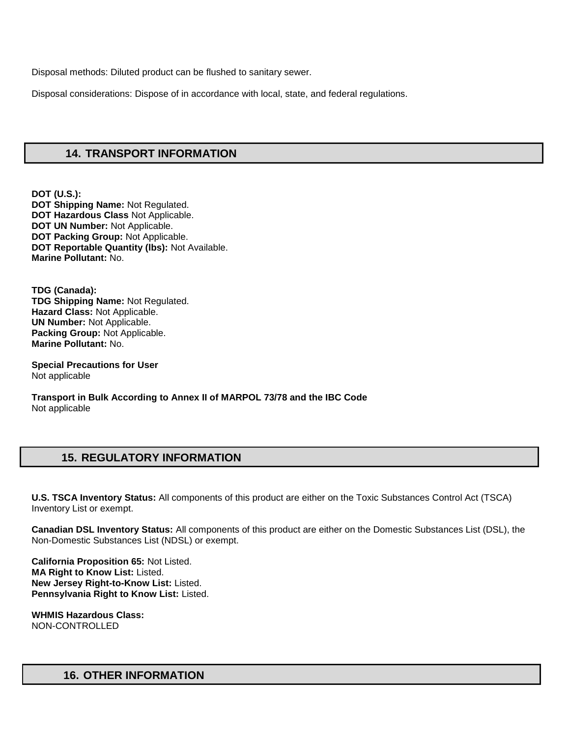Disposal methods: Diluted product can be flushed to sanitary sewer.

Disposal considerations: Dispose of in accordance with local, state, and federal regulations.

## **14. TRANSPORT INFORMATION**

**DOT (U.S.): DOT Shipping Name:** Not Regulated. **DOT Hazardous Class** Not Applicable. **DOT UN Number:** Not Applicable. **DOT Packing Group:** Not Applicable. **DOT Reportable Quantity (lbs):** Not Available. **Marine Pollutant:** No.

**TDG (Canada): TDG Shipping Name:** Not Regulated. **Hazard Class:** Not Applicable. **UN Number:** Not Applicable. **Packing Group:** Not Applicable. **Marine Pollutant:** No.

**Special Precautions for User** Not applicable

**Transport in Bulk According to Annex II of MARPOL 73/78 and the IBC Code**  Not applicable

# **15. REGULATORY INFORMATION**

**U.S. TSCA Inventory Status:** All components of this product are either on the Toxic Substances Control Act (TSCA) Inventory List or exempt.

**Canadian DSL Inventory Status:** All components of this product are either on the Domestic Substances List (DSL), the Non-Domestic Substances List (NDSL) or exempt.

**California Proposition 65:** Not Listed. **MA Right to Know List:** Listed. **New Jersey Right-to-Know List:** Listed. **Pennsylvania Right to Know List:** Listed.

**WHMIS Hazardous Class:** NON-CONTROLLED

# **16. OTHER INFORMATION**